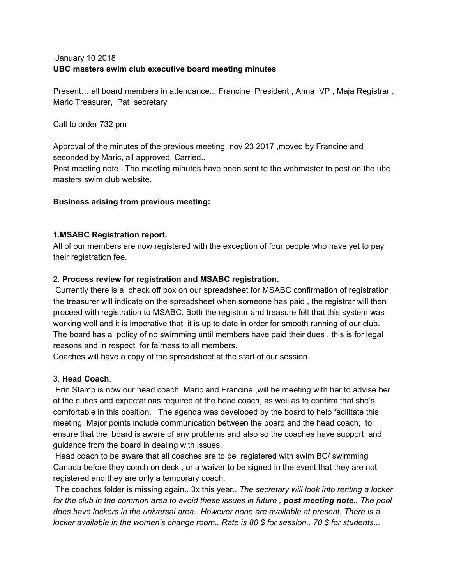# January 10 2018 **UBC masters swim club executive board meeting minutes**

Present… all board members in attendance.., Francine President , Anna VP , Maja Registrar , Maric Treasurer, Pat secretary

Call to order 732 pm

Approval of the minutes of the previous meeting nov 23 2017 ,moved by Francine and seconded by Maric, all approved. Carried..

Post meeting note.. The meeting minutes have been sent to the webmaster to post on the ubc masters swim club website.

# **Business arising from previous meeting:**

## **1.MSABC Registration report.**

All of our members are now registered with the exception of four people who have yet to pay their registration fee.

## 2. **Process review for registration and MSABC registration.**

Currently there is a check off box on our spreadsheet for MSABC confirmation of registration, the treasurer will indicate on the spreadsheet when someone has paid , the registrar will then proceed with registration to MSABC. Both the registrar and treasure felt that this system was working well and it is imperative that it is up to date in order for smooth running of our club. The board has a policy of no swimming until members have paid their dues , this is for legal reasons and in respect for fairness to all members.

Coaches will have a copy of the spreadsheet at the start of our session .

# 3. **Head Coach**.

Erin Stamp is now our head coach. Maric and Francine ,will be meeting with her to advise her of the duties and expectations required of the head coach, as well as to confirm that she's comfortable in this position. The agenda was developed by the board to help facilitate this meeting. Major points include communication between the board and the head coach, to ensure that the board is aware of any problems and also so the coaches have support and guidance from the board in dealing with issues.

Head coach to be aware that all coaches are to be registered with swim BC/ swimming Canada before they coach on deck , or a waiver to be signed in the event that they are not registered and they are only a temporary coach.

The coaches folder is missing again.. 3x this year.. *The secretary will look into renting a locker* for the club in the common area to avoid these issues in future, post meeting note.. The pool *does have lockers in the universal area.. However none are available at present. There is a locker available in the women's change room.. Rate is 80 \$ for session.. 70 \$ for students...*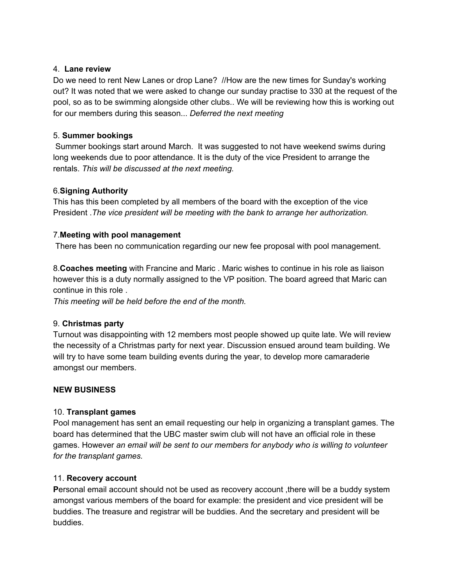### 4. **Lane review**

Do we need to rent New Lanes or drop Lane? //How are the new times for Sunday's working out? It was noted that we were asked to change our sunday practise to 330 at the request of the pool, so as to be swimming alongside other clubs.. We will be reviewing how this is working out for our members during this season... *Deferred the next meeting*

## 5. **Summer bookings**

Summer bookings start around March. It was suggested to not have weekend swims during long weekends due to poor attendance. It is the duty of the vice President to arrange the rentals. *This will be discussed at the next meeting.*

# 6.**Signing Authority**

This has this been completed by all members of the board with the exception of the vice President .*The vice president will be meeting with the bank to arrange her authorization.*

## 7.**Meeting with pool management**

There has been no communication regarding our new fee proposal with pool management.

8.**Coaches meeting** with Francine and Maric . Maric wishes to continue in his role as liaison however this is a duty normally assigned to the VP position. The board agreed that Maric can continue in this role .

*This meeting will be held before the end of the month.*

### 9. **Christmas party**

Turnout was disappointing with 12 members most people showed up quite late. We will review the necessity of a Christmas party for next year. Discussion ensued around team building. We will try to have some team building events during the year, to develop more camaraderie amongst our members.

# **NEW BUSINESS**

# 10. **Transplant games**

Pool management has sent an email requesting our help in organizing a transplant games. The board has determined that the UBC master swim club will not have an official role in these games. However *an email will be sent to our members for anybody who is willing to volunteer for the transplant games.*

### 11. **Recovery account**

**P**ersonal email account should not be used as recovery account ,there will be a buddy system amongst various members of the board for example: the president and vice president will be buddies. The treasure and registrar will be buddies. And the secretary and president will be buddies.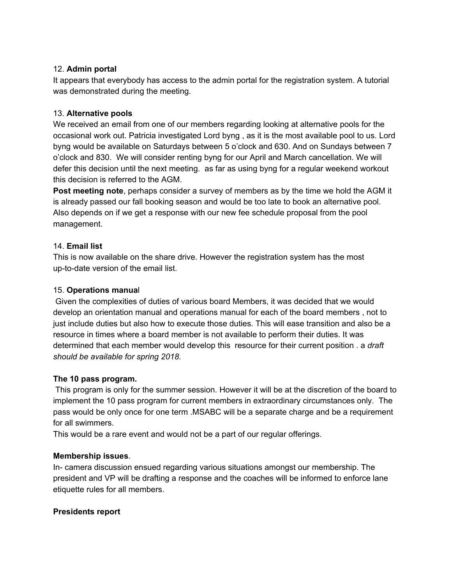## 12. **Admin portal**

It appears that everybody has access to the admin portal for the registration system. A tutorial was demonstrated during the meeting.

# 13. **Alternative pools**

We received an email from one of our members regarding looking at alternative pools for the occasional work out. Patricia investigated Lord byng , as it is the most available pool to us. Lord byng would be available on Saturdays between 5 o'clock and 630. And on Sundays between 7 o'clock and 830. We will consider renting byng for our April and March cancellation. We will defer this decision until the next meeting. as far as using byng for a regular weekend workout this decision is referred to the AGM.

**Post meeting note**, perhaps consider a survey of members as by the time we hold the AGM it is already passed our fall booking season and would be too late to book an alternative pool. Also depends on if we get a response with our new fee schedule proposal from the pool management.

# 14. **Email list**

This is now available on the share drive. However the registration system has the most up-to-date version of the email list.

# 15. **Operations manua**l

Given the complexities of duties of various board Members, it was decided that we would develop an orientation manual and operations manual for each of the board members , not to just include duties but also how to execute those duties. This will ease transition and also be a resource in times where a board member is not available to perform their duties. It was determined that each member would develop this resource for their current position . a *draft should be available for spring 2018.*

# **The 10 pass program.**

This program is only for the summer session. However it will be at the discretion of the board to implement the 10 pass program for current members in extraordinary circumstances only. The pass would be only once for one term .MSABC will be a separate charge and be a requirement for all swimmers.

This would be a rare event and would not be a part of our regular offerings.

# **Membership issues**.

In- camera discussion ensued regarding various situations amongst our membership. The president and VP will be drafting a response and the coaches will be informed to enforce lane etiquette rules for all members.

# **Presidents report**